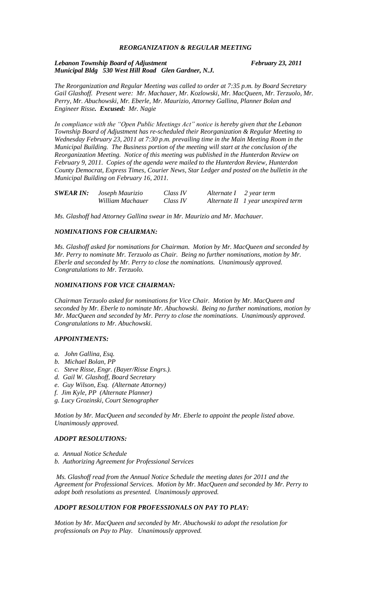# *REORGANIZATION & REGULAR MEETING*

### *Lebanon Township Board of Adjustment February 23, 2011 Municipal Bldg 530 West Hill Road Glen Gardner, N.J.*

*The Reorganization and Regular Meeting was called to order at 7:35 p.m. by Board Secretary Gail Glashoff. Present were: Mr. Machauer, Mr. Kozlowski, Mr. MacQueen, Mr. Terzuolo, Mr. Perry, Mr. Abuchowski, Mr. Eberle, Mr. Maurizio, Attorney Gallina, Planner Bolan and Engineer Risse. Excused: Mr. Nagie*

*In compliance with the "Open Public Meetings Act" notice is hereby given that the Lebanon Township Board of Adjustment has re-scheduled their Reorganization & Regular Meeting to Wednesday February 23, 2011 at 7:30 p.m. prevailing time in the Main Meeting Room in the Municipal Building. The Business portion of the meeting will start at the conclusion of the Reorganization Meeting. Notice of this meeting was published in the Hunterdon Review on February 9, 2011. Copies of the agenda were mailed to the Hunterdon Review, Hunterdon County Democrat, Express Times, Courier News, Star Ledger and posted on the bulletin in the Municipal Building on February 16, 2011.*

| <b>SWEAR IN:</b> Joseph Maurizio | Class IV | Alternate $I$ 2 year term |                                    |
|----------------------------------|----------|---------------------------|------------------------------------|
| William Machauer                 | Class IV |                           | Alternate II 1 year unexpired term |

*Ms. Glashoff had Attorney Gallina swear in Mr. Maurizio and Mr. Machauer.*

# *NOMINATIONS FOR CHAIRMAN:*

*Ms. Glashoff asked for nominations for Chairman. Motion by Mr. MacQueen and seconded by Mr. Perry to nominate Mr. Terzuolo as Chair. Being no further nominations, motion by Mr. Eberle and seconded by Mr. Perry to close the nominations. Unanimously approved. Congratulations to Mr. Terzuolo.*

### *NOMINATIONS FOR VICE CHAIRMAN:*

*Chairman Terzuolo asked for nominations for Vice Chair. Motion by Mr. MacQueen and seconded by Mr. Eberle to nominate Mr. Abuchowski. Being no further nominations, motion by Mr. MacQueen and seconded by Mr. Perry to close the nominations. Unanimously approved. Congratulations to Mr. Abuchowski.*

### *APPOINTMENTS:*

- *a. John Gallina, Esq.*
- *b. Michael Bolan, PP*
- *c. Steve Risse, Engr. (Bayer/Risse Engrs.).*
- *d. Gail W. Glashoff, Board Secretary*
- *e. Guy Wilson, Esq. (Alternate Attorney)*
- *f. Jim Kyle, PP (Alternate Planner)*
- *g. Lucy Grozinski, Court Stenographer*

*Motion by Mr. MacQueen and seconded by Mr. Eberle to appoint the people listed above. Unanimously approved.*

### *ADOPT RESOLUTIONS:*

*a. Annual Notice Schedule b. Authorizing Agreement for Professional Services*

*Ms. Glashoff read from the Annual Notice Schedule the meeting dates for 2011 and the Agreement for Professional Services. Motion by Mr. MacQueen and seconded by Mr. Perry to adopt both resolutions as presented. Unanimously approved.*

# *ADOPT RESOLUTION FOR PROFESSIONALS ON PAY TO PLAY:*

*Motion by Mr. MacQueen and seconded by Mr. Abuchowski to adopt the resolution for professionals on Pay to Play. Unanimously approved.*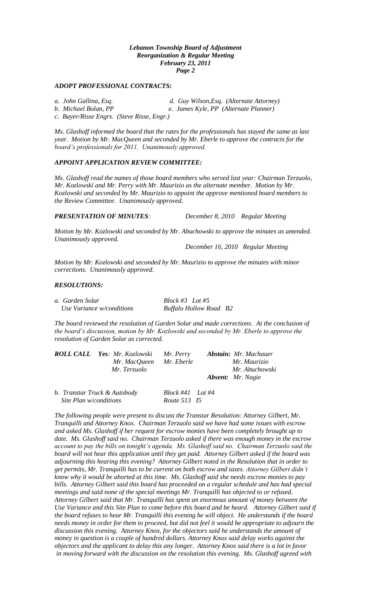### *ADOPT PROFESSIONAL CONTRACTS:*

- 
- *a. John Gallina, Esq. d. Guy Wilson,Esq. (Alternate Attorney)*

*b. Michael Bolan, PP e. James Kyle, PP (Alternate Planner)*

*c. Bayer/Risse Engrs. (Steve Risse, Engr.)*

*Ms. Glashoff informed the board that the rates for the professionals has stayed the same as last year. Motion by Mr. MacQueen and seconded by Mr. Eberle to approve the contracts for the board's professionals for 2011. Unanimously approved.*

### *APPOINT APPLICATION REVIEW COMMITTEE:*

*Ms. Glashoff read the names of those board members who served last year: Chairman Terzuolo, Mr. Kozlowski and Mr. Perry with Mr. Maurizio as the alternate member. Motion by Mr. Kozlowski and seconded by Mr. Maurizio to appoint the approve mentioned board members to the Review Committee. Unanimously approved.*

*PRESENTATION OF MINUTES: December 8, 2010 Regular Meeting*

*Motion by Mr. Kozlowski and seconded by Mr. Abuchowski to approve the minutes as amended. Unanimously approved.*

*December 16, 2010 Regular Meeting*

*Motion by Mr. Kozlowski and seconded by Mr. Maurizio to approve the minutes with minor corrections. Unanimously approved.*

# *RESOLUTIONS:*

*a. Garden Solar Block #3 Lot #5 Use Variance w/conditions Buffalo Hollow Road B2*

*The board reviewed the resolution of Garden Solar and made corrections. At the conclusion of the board's discussion, motion by Mr. Kozlowski and seconded by Mr. Eberle to approve the resolution of Garden Solar as corrected.*

|                        | <b>ROLL CALL Yes: Mr. Kozlowski</b><br>Mr. MacQueen<br>Mr. Terzuolo | Mr. Perry<br>Mr. Eberle            | Abstain: Mr. Machauer<br>Mr. Maurizio<br>Mr. Abuchowski |                          |
|------------------------|---------------------------------------------------------------------|------------------------------------|---------------------------------------------------------|--------------------------|
|                        |                                                                     |                                    |                                                         | <b>Absent:</b> Mr. Nagie |
| Site Plan w/conditions | b. Transtar Truck & Autobody                                        | $Block #41$ Lot #4<br>Route 513 15 |                                                         |                          |

*The following people were present to discuss the Transtar Resolution: Attorney Gilbert, Mr. Tranquilli and Attorney Knox. Chairman Terzuolo said we have had some issues with escrow and asked Ms. Glashoff if her request for escrow monies have been completely brought up to date. Ms. Glashoff said no. Chairman Terzuolo asked if there was enough money in the escrow account to pay the bills on tonight's agenda. Ms. Glashoff said no. Chairman Terzuolo said the board will not hear this application until they get paid. Attorney Gilbert asked if the board was adjourning this hearing this evening? Attorney Gilbert noted in the Resolution that in order to get permits, Mr. Tranquilli has to be current on both escrow and taxes. Attorney Gilbert didn't know why it would be aborted at this time. Ms. Glashoff said she needs escrow monies to pay bills. Attorney Gilbert said this board has proceeded on a regular schedule and has had special meetings and said none of the special meetings Mr. Tranquilli has objected to or refused. Attorney Gilbert said that Mr. Tranquilli has spent an enormous amount of money between the*  Use Variance and this Site Plan to come before this board and be heard. Attorney Gilbert said if *the board refuses to hear Mr. Tranquilli this evening he will object. He understands if the board needs money in order for them to proceed, but did not feel it would be appropriate to adjourn the discussion this evening. Attorney Knox, for the objectors said he understands the amount of money in question is a couple of hundred dollars. Attorney Knox said delay works against the objectors and the applicant to delay this any longer. Attorney Knox said there is a lot in favor in moving forward with the discussion on the resolution this evening. Ms. Glashoff agreed with*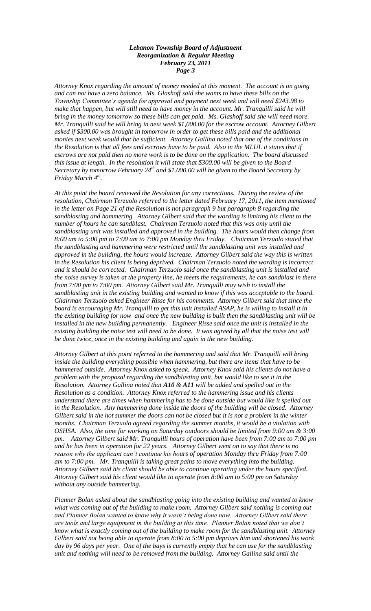*Attorney Knox regarding the amount of money needed at this moment. The account is on going and can not have a zero balance. Ms. Glashoff said she wants to have these bills on the Township Committee's agenda for approval and payment next week and will need \$243.98 to make that happen, but will still need to have money in the account. Mr. Tranquilli said he will bring in the money tomorrow so these bills can get paid. Ms. Glashoff said she will need more. Mr. Tranquilli said he will bring in next week \$1,000.00 for the escrow account. Attorney Gilbert*  asked if \$300.00 was brought in tomorrow in order to get these bills paid and the additional *monies next week would that be sufficient. Attorney Gallina noted that one of the conditions in the Resolution is that all fees and escrows have to be paid. Also in the MLUL it states that if escrows are not paid then no more work is to be done on the application. The board discussed this issue at length. In the resolution it will state that \$300.00 will be given to the Board Secretary by tomorrow February 24th and \$1.000.00 will be given to the Board Secretary by Friday March 4th .*

*At this point the board reviewed the Resolution for any corrections. During the review of the resolution, Chairman Terzuolo referred to the letter dated February 17, 2011, the item mentioned in the letter on Page 21 of the Resolution is not paragraph 9 but paragraph 8 regarding the sandblasting and hammering. Attorney Gilbert said that the wording is limiting his client to the number of hours he can sandblast. Chairman Terzuolo noted that this was only until the sandblasting unit was installed and approved in the building. The hours would then change from 8:00 am to 5:00 pm to 7:00 am to 7:00 pm Monday thru Friday. Chairman Terzuolo stated that the sandblasting and hammering were restricted until the sandblasting unit was installed and approved in the building, the hours would increase. Attorney Gilbert said the way this is written in the Resolution his client is being deprived. Chairman Terzuolo noted the wording is incorrect and it should be corrected. Chairman Terzuolo said once the sandblasting unit is installed and the noise survey is taken at the property line, he meets the requirements, he can sandblast in there from 7:00 pm to 7:00 pm. Attorney Gilbert said Mr. Tranquilli may wish to install the sandblasting unit in the existing building and wanted to know if this was acceptable to the board. Chairman Terzuolo asked Engineer Risse for his comments. Attorney Gilbert said that since the board is encouraging Mr. Tranquilli to get this unit installed ASAP, he is willing to install it in the existing building for now and once the new building is built then the sandblasting unit will be*  installed in the new building permanently. Engineer Risse said once the unit is installed in the *existing building the noise test will need to be done. It was agreed by all that the noise test will be done twice, once in the existing building and again in the new building.* 

*Attorney Gilbert at this point referred to the hammering and said that Mr. Tranquilli will bring inside the building everything possible when hammering, but there are items that have to be hammered outside. Attorney Knox asked to speak. Attorney Knox said his clients do not have a problem with the proposal regarding the sandblasting unit, but would like to see it in the Resolution. Attorney Gallina noted that A10 & A11 will be added and spelled out in the Resolution as a condition. Attorney Knox referred to the hammering issue and his clients understand there are times when hammering has to be done outside but would like it spelled out in the Resolution. Any hammering done inside the doors of the building will be closed. Attorney Gilbert said in the hot summer the doors can not be closed but it is not a problem in the winter months. Chairman Terzuolo agreed regarding the summer months, it would be a violation with OSHSA. Also, the time for working on Saturday outdoors should be limited from 9:00 am & 3:00 pm. Attorney Gilbert said Mr. Tranquilli hours of operation have been from 7:00 am to 7:00 pm and he has been in operation for 22 years. Attorney Gilbert went on to say that there is no reason why the applicant can't continue his hours of operation Monday thru Friday from 7:00 am to 7:00 pm. Mr. Tranquilli is taking great pains to move everything into the building. Attorney Gilbert said his client should be able to continue operating under the hours specified. Attorney Gilbert said his client would like to operate from 8:00 am to 5:00 pm on Saturday without any outside hammering.*

*Planner Bolan asked about the sandblasting going into the existing building and wanted to know what was coming out of the building to make room. Attorney Gilbert said nothing is coming out and Planner Bolan wanted to know why it wasn't being done now. Attorney Gilbert said there are tools and large equipment in the building at this time. Planner Bolan noted that we don't know what is exactly coming out of the building to make room for the sandblasting unit. Attorney Gilbert said not being able to operate from 8:00 to 5:00 pm deprives him and shortened his work day by 96 days per year. One of the bays is currently empty that he can use for the sandblasting unit and nothing will need to be removed from the building. Attorney Gallina said until the*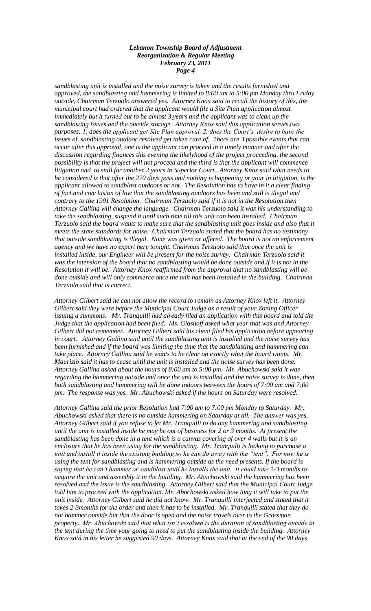*sandblasting unit is installed and the noise survey is taken and the results furnished and approved, the sandblasting and hammering is limited to 8:00 am to 5:00 pm Monday thru Friday outside, Chairman Terzuolo answered yes. Attorney Knox said to recall the history of this, the municipal court had ordered that the applicant would file a Site Plan application almost immediately but it turned out to be almost 3 years and the applicant was to clean up the sandblasting issues and the outside storage. Attorney Knox said this application serves two purposes: 1. does the applicant get Site Plan approval, 2. does the Court's desire to have the issues of sandblasting outdoor resolved get taken care of. There are 3 possible events that can occur after this approval, one is the applicant can proceed in a timely manner and after the discussion regarding finances this evening the likelyhood of the project proceeding, the second possibility is that the project will not proceed and the third is that the applicant will commence litigation and to stall for another 2 years in Superior Court. Attorney Knox said what needs to be considered is that after the 270 days pass and nothing is happening or your in litigation, is the applicant allowed to sandblast outdoors or not. The Resolution has to have in it a clear finding of fact and conclusion of law that the sandblasting outdoors has been and still is illegal and contrary to the 1991 Resolution. Chairman Terzuolo said if it is not in the Resolution then Attorney Gallina will change the language. Chairman Terzuolo said it was his understanding to take the sandblasting, suspend it until such time till this unit can been installed. Chairman Terzuolo said the board wants to make sure that the sandblasting unit goes inside and also that it meets the state standards for noise. Chairman Terzuolo stated that the board has no testimony that outside sandblasting is illegal. None was given or offered. The board is not an enforcement agency and we have no expert here tonight. Chairman Terzuolo said that once the unit is installed inside, our Engineer will be present for the noise survey. Chairman Terzuolo said it was the intension of the board that no sandblasting would be done outside and if it is not in the Resolution it will be. Attorney Knox reaffirmed from the approval that no sandblasting will be done outside and will only commerce once the unit has been installed in the building. Chairman Terzuolo said that is correct.*

*Attorney Gilbert said he can not allow the record to remain as Attorney Knox left it. Attorney Gilbert said they were before the Municipal Court Judge as a result of your Zoning Officer*  issuing a summons. Mr. Tranquilli had already filed an application with this board and told the *Judge that the application had been filed. Ms. Glashoff asked what year that was and Attorney Gilbert did not remember. Attorney Gilbert said his client filed his application before appearing in court. Attorney Gallina said until the sandblasting unit is installed and the noise survey has been furnished and if the board was limiting the time that the sandblasting and hammering can take place. Attorney Gallina said he wants to be clear on exactly what the board wants. Mr. Maurizio said it has to cease until the unit is installed and the noise survey has been done. Attorney Gallina asked about the hours of 8:00 am to 5:00 pm. Mr. Abuchowski said it was regarding the hammering outside and once the unit is installed and the noise survey is done, then both sandblasting and hammering will be done indoors between the hours of 7:00 am and 7:00 pm. The response was yes. Mr. Abuchowski asked if the hours on Saturday were resolved.* 

*Attorney Gallina said the prior Resolution had 7:00 am to 7:00 pm Monday to Saturday. Mr. Abuchowski asked that there is no outside hammering on Saturday at all. The answer was yes. Attorney Gilbert said if you refuse to let Mr. Tranquilli to do any hammering and sandblasting until the unit is installed inside he may be out of business for 2 or 3 months. At present the sandblasting has been done in a tent which is a canvas covering of over 4 walls but it is an enclosure that he has been using for the sandblasting. Mr. Tranquilli is looking to purchase a unit and install it inside the existing building so he can do away with the "tent". For now he is using the tent for sandblasting and is hammering outside as the need presents. If the board is saying that he can't hammer or sandblast until he installs the unit. It could take 2-3 months to acquire the unit and assembly it in the building. Mr. Abuchowski said the hammering has been resolved and the issue is the sandblasting. Attorney Gilbert said that the Municipal Court Judge told him to proceed with the application. Mr. Abuchowski asked how long it will take to put the unit inside. Attorney Gilbert said he did not know. Mr. Tranquilli interjected and stated that it takes 2-3months for the order and then it has to be installed. Mr. Tranquilli stated that they do not hammer outside but that the door is open and the noise travels over to the Grossman property. Mr. Abuchowski said that what isn't resolved is the duration of sandblasting outside in the tent during the time your going to need to put the sandblasting inside the building. Attorney Knox said in his letter he suggested 90 days. Attorney Knox said that at the end of the 90 days*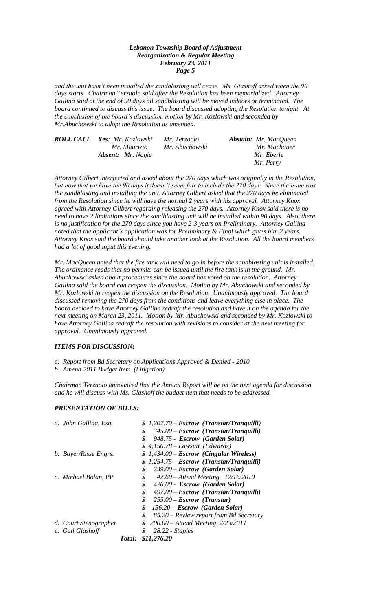*and the unit hasn't been installed the sandblasting will cease. Ms. Glashoff asked when the 90 days starts. Chairman Terzuolo said after the Resolution has been memorialized Attorney Gallina said at the end of 90 days all sandblasting will be moved indoors or terminated. The board continued to discuss this issue. The board discussed adopting the Resolution tonight. At the conclusion of the board's discussion, motion by Mr. Kozlowski and seconded by Mr.Abuchowski to adopt the Resolution as amended.*

| <b>ROLL CALL</b> Yes: Mr. Kozlowski | Mr. Terzuolo   | <b>Abstain:</b> Mr. MacQueen |
|-------------------------------------|----------------|------------------------------|
| Mr. Maurizio                        | Mr. Abuchowski | Mr. Machauer                 |
| <b>Absent:</b> Mr. Nagie            |                | Mr. Eberle                   |
|                                     |                | Mr. Perry                    |

*Attorney Gilbert interjected and asked about the 270 days which was originally in the Resolution, but now that we have the 90 days it doesn't seem fair to include the 270 days. Since the issue was the sandblasting and installing the unit, Attorney Gilbert asked that the 270 days be eliminated from the Resolution since he will have the normal 2 years with his approval. Attorney Knox agreed with Attorney Gilbert regarding releasing the 270 days. Attorney Knox said there is no need to have 2 limitations since the sandblasting unit will be installed within 90 days. Also, there is no justification for the 270 days since you have 2-3 years on Preliminary. Attorney Gallina noted that the applicant's application was for Preliminary & Final which gives him 2 years. Attorney Knox said the board should take another look at the Resolution. All the board members had a lot of good input this evening.*

*Mr. MacQueen noted that the fire tank will need to go in before the sandblasting unit is installed. The ordinance reads that no permits can be issued until the fire tank is in the ground. Mr. Abuchowski asked about procedures since the board has voted on the resolution. Attorney Gallina said the board can reopen the discussion. Motion by Mr. Abuchowski and seconded by Mr. Kozlowski to reopen the discussion on the Resolution. Unanimously approved. The board discussed removing the 270 days from the conditions and leave everything else in place. The board decided to have Attorney Gallina redraft the resolution and have it on the agenda for the next meeting on March 23, 2011. Motion by Mr. Abuchowski and seconded by Mr. Kozlowski to have Attorney Gallina redraft the resolution with revisions to consider at the next meeting for approval. Unanimously approved.* 

# *ITEMS FOR DISCUSSION:*

*a. Report from Bd Secretary on Applications Approved & Denied - 2010 b. Amend 2011 Budget Item (Litigation)*

*Chairman Terzuolo announced that the Annual Report will be on the next agenda for discussion. and he will discuss with Ms. Glashoff the budget item that needs to be addressed.*

# *PRESENTATION OF BILLS:*

| a. John Gallina, Esq.                     |        | $$1,207.70 - Escrow (Transtar/Tranquilli)$<br>S<br>$345.00 - Escrow$ (Transtar/Tranguilli)<br>\$<br>948.75 - Escrow (Garden Solar)<br>$$4,156.78$ - Lawsuit (Edwards)                                                                                               |
|-------------------------------------------|--------|---------------------------------------------------------------------------------------------------------------------------------------------------------------------------------------------------------------------------------------------------------------------|
| b. Bayer/Risse Engrs.                     |        | $$1,434.00 - Escrow$ (Cingular Wireless)<br>$$1,254.75 - Escrow$ (Transtar/Tranguilli)<br>\$<br>239.00 – Escrow (Garden Solar)                                                                                                                                      |
| c. Michael Bolan, PP                      |        | \$<br>$42.60 -$ Attend Meeting $12/16/2010$<br>\$<br>426.00 - Escrow (Garden Solar)<br>\$<br>$497.00 - Escrow$ (Transtar/Tranguilli)<br>\$<br>$255.00 - Escrow$ (Transtar)<br>\$<br>156.20 - Escrow (Garden Solar)<br>\$<br>85.20 - Review report from Bd Secretary |
| d. Court Stenographer<br>e. Gail Glashoff | Total: | 200.00 - Attend Meeting 2/23/2011<br>\$<br>\$<br>$28.22$ - Staples<br>\$11,276.20                                                                                                                                                                                   |